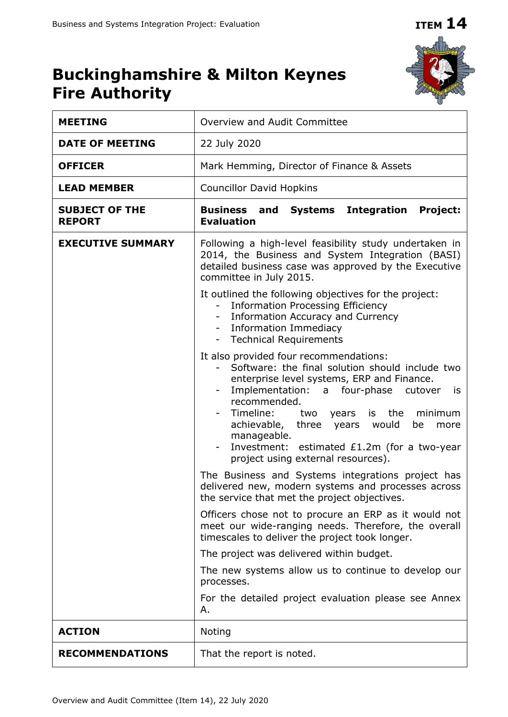# **ITEM 14**



# **Buckinghamshire & Milton Keynes Fire Authority**

| <b>MEETING</b>                         | Overview and Audit Committee                                                                                                                                                                                                                                                                                                                                                                                                                                                                                                                                                                                                                                                                                                                                                                                                                                                                                                                                                                                                                                                                                                                                                                                                                                                             |  |  |  |  |
|----------------------------------------|------------------------------------------------------------------------------------------------------------------------------------------------------------------------------------------------------------------------------------------------------------------------------------------------------------------------------------------------------------------------------------------------------------------------------------------------------------------------------------------------------------------------------------------------------------------------------------------------------------------------------------------------------------------------------------------------------------------------------------------------------------------------------------------------------------------------------------------------------------------------------------------------------------------------------------------------------------------------------------------------------------------------------------------------------------------------------------------------------------------------------------------------------------------------------------------------------------------------------------------------------------------------------------------|--|--|--|--|
| <b>DATE OF MEETING</b>                 | 22 July 2020                                                                                                                                                                                                                                                                                                                                                                                                                                                                                                                                                                                                                                                                                                                                                                                                                                                                                                                                                                                                                                                                                                                                                                                                                                                                             |  |  |  |  |
| <b>OFFICER</b>                         | Mark Hemming, Director of Finance & Assets                                                                                                                                                                                                                                                                                                                                                                                                                                                                                                                                                                                                                                                                                                                                                                                                                                                                                                                                                                                                                                                                                                                                                                                                                                               |  |  |  |  |
| <b>LEAD MEMBER</b>                     | <b>Councillor David Hopkins</b>                                                                                                                                                                                                                                                                                                                                                                                                                                                                                                                                                                                                                                                                                                                                                                                                                                                                                                                                                                                                                                                                                                                                                                                                                                                          |  |  |  |  |
| <b>SUBJECT OF THE</b><br><b>REPORT</b> | <b>Business and Systems Integration</b><br><b>Project:</b><br><b>Evaluation</b>                                                                                                                                                                                                                                                                                                                                                                                                                                                                                                                                                                                                                                                                                                                                                                                                                                                                                                                                                                                                                                                                                                                                                                                                          |  |  |  |  |
| <b>EXECUTIVE SUMMARY</b>               | Following a high-level feasibility study undertaken in<br>2014, the Business and System Integration (BASI)<br>detailed business case was approved by the Executive<br>committee in July 2015.<br>It outlined the following objectives for the project:<br><b>Information Processing Efficiency</b><br>Ξ.<br>Information Accuracy and Currency<br>$\blacksquare$<br>Information Immediacy<br><b>Technical Requirements</b><br>$\sim$<br>It also provided four recommendations:<br>Software: the final solution should include two<br>enterprise level systems, ERP and Finance.<br>Implementation: a four-phase cutover<br>is is<br>recommended.<br>Timeline: two years is the<br>minimum<br>achievable, three years would<br>be<br>more<br>manageable.<br>Investment: estimated £1.2m (for a two-year<br>project using external resources).<br>The Business and Systems integrations project has<br>delivered new, modern systems and processes across<br>the service that met the project objectives.<br>Officers chose not to procure an ERP as it would not<br>meet our wide-ranging needs. Therefore, the overall<br>timescales to deliver the project took longer.<br>The project was delivered within budget.<br>The new systems allow us to continue to develop our<br>processes. |  |  |  |  |
|                                        | For the detailed project evaluation please see Annex<br>Α.                                                                                                                                                                                                                                                                                                                                                                                                                                                                                                                                                                                                                                                                                                                                                                                                                                                                                                                                                                                                                                                                                                                                                                                                                               |  |  |  |  |
| <b>ACTION</b>                          | Noting                                                                                                                                                                                                                                                                                                                                                                                                                                                                                                                                                                                                                                                                                                                                                                                                                                                                                                                                                                                                                                                                                                                                                                                                                                                                                   |  |  |  |  |
| <b>RECOMMENDATIONS</b>                 | That the report is noted.                                                                                                                                                                                                                                                                                                                                                                                                                                                                                                                                                                                                                                                                                                                                                                                                                                                                                                                                                                                                                                                                                                                                                                                                                                                                |  |  |  |  |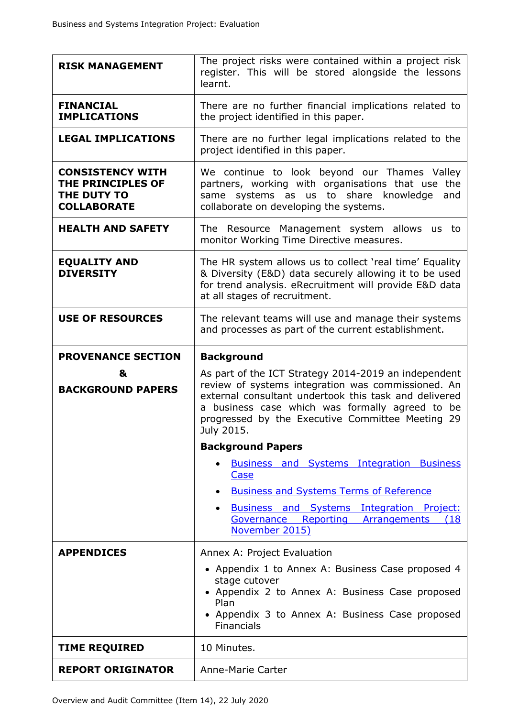| <b>RISK MANAGEMENT</b>                                                            | The project risks were contained within a project risk<br>register. This will be stored alongside the lessons<br>learnt.                                                                                                                                                                 |  |  |  |  |
|-----------------------------------------------------------------------------------|------------------------------------------------------------------------------------------------------------------------------------------------------------------------------------------------------------------------------------------------------------------------------------------|--|--|--|--|
| <b>FINANCIAL</b><br><b>IMPLICATIONS</b>                                           | There are no further financial implications related to<br>the project identified in this paper.                                                                                                                                                                                          |  |  |  |  |
| <b>LEGAL IMPLICATIONS</b>                                                         | There are no further legal implications related to the<br>project identified in this paper.                                                                                                                                                                                              |  |  |  |  |
| <b>CONSISTENCY WITH</b><br>THE PRINCIPLES OF<br>THE DUTY TO<br><b>COLLABORATE</b> | We continue to look beyond our Thames Valley<br>partners, working with organisations that use the<br>systems as us to share knowledge<br>and<br>same<br>collaborate on developing the systems.                                                                                           |  |  |  |  |
| <b>HEALTH AND SAFETY</b>                                                          | The Resource Management system allows<br><b>us</b><br>to<br>monitor Working Time Directive measures.                                                                                                                                                                                     |  |  |  |  |
| <b>EQUALITY AND</b><br><b>DIVERSITY</b>                                           | The HR system allows us to collect 'real time' Equality<br>& Diversity (E&D) data securely allowing it to be used<br>for trend analysis. eRecruitment will provide E&D data<br>at all stages of recruitment.                                                                             |  |  |  |  |
| <b>USE OF RESOURCES</b>                                                           | The relevant teams will use and manage their systems<br>and processes as part of the current establishment.                                                                                                                                                                              |  |  |  |  |
| <b>PROVENANCE SECTION</b>                                                         | <b>Background</b>                                                                                                                                                                                                                                                                        |  |  |  |  |
| &<br><b>BACKGROUND PAPERS</b>                                                     | As part of the ICT Strategy 2014-2019 an independent<br>review of systems integration was commissioned. An<br>external consultant undertook this task and delivered<br>a business case which was formally agreed to be<br>progressed by the Executive Committee Meeting 29<br>July 2015. |  |  |  |  |
|                                                                                   | <b>Background Papers</b>                                                                                                                                                                                                                                                                 |  |  |  |  |
|                                                                                   | <b>Business and Systems Integration Business</b><br><b>Case</b>                                                                                                                                                                                                                          |  |  |  |  |
|                                                                                   | <b>Business and Systems Terms of Reference</b><br>$\bullet$                                                                                                                                                                                                                              |  |  |  |  |
|                                                                                   | Business and Systems Integration Project:<br>Reporting<br>Governance<br>Arrangements<br>(18)<br>November 2015)                                                                                                                                                                           |  |  |  |  |
| <b>APPENDICES</b>                                                                 | Annex A: Project Evaluation                                                                                                                                                                                                                                                              |  |  |  |  |
|                                                                                   | • Appendix 1 to Annex A: Business Case proposed 4<br>stage cutover<br>• Appendix 2 to Annex A: Business Case proposed<br>Plan<br>• Appendix 3 to Annex A: Business Case proposed<br><b>Financials</b>                                                                                    |  |  |  |  |
| <b>TIME REQUIRED</b>                                                              | 10 Minutes.                                                                                                                                                                                                                                                                              |  |  |  |  |
| <b>REPORT ORIGINATOR</b>                                                          | Anne-Marie Carter                                                                                                                                                                                                                                                                        |  |  |  |  |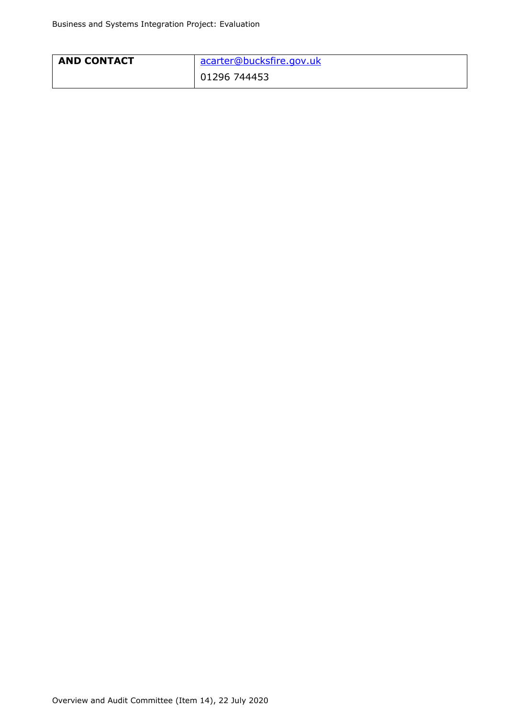| <b>AND CONTACT</b> | acarter@bucksfire.gov.uk |
|--------------------|--------------------------|
|                    | 01296 744453             |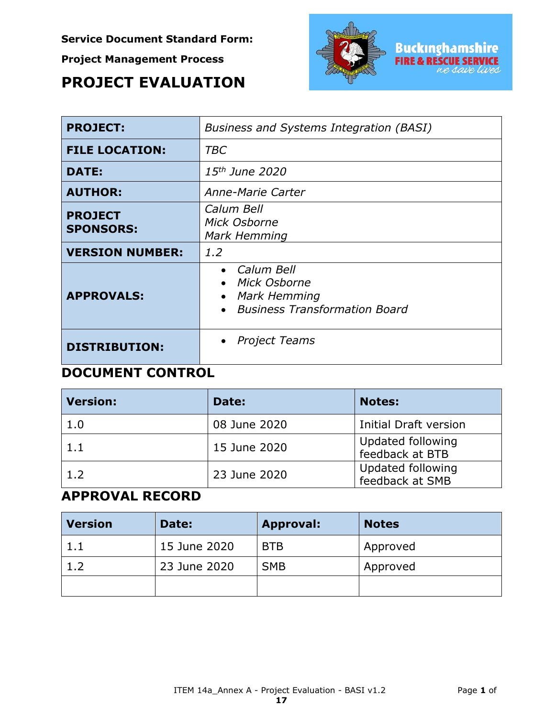**Service Document Standard Form:**

**Project Management Process**

# **PROJECT EVALUATION**



| <b>PROJECT:</b>                    | <b>Business and Systems Integration (BASI)</b>                                                 |
|------------------------------------|------------------------------------------------------------------------------------------------|
| <b>FILE LOCATION:</b>              | TBC                                                                                            |
| <b>DATE:</b>                       | 15 <sup>th</sup> June 2020                                                                     |
| <b>AUTHOR:</b>                     | Anne-Marie Carter                                                                              |
| <b>PROJECT</b><br><b>SPONSORS:</b> | Calum Bell<br>Mick Osborne<br>Mark Hemming                                                     |
| <b>VERSION NUMBER:</b>             | 1.2                                                                                            |
| <b>APPROVALS:</b>                  | • Calum Bell<br>• Mick Osborne<br>Mark Hemming<br>$\bullet$<br>• Business Transformation Board |
| <b>DISTRIBUTION:</b>               | Project Teams<br>$\bullet$                                                                     |

## **DOCUMENT CONTROL**

| <b>Version:</b> | Date:        | <b>Notes:</b>                        |
|-----------------|--------------|--------------------------------------|
| 1.0             | 08 June 2020 | Initial Draft version                |
| 1.1             | 15 June 2020 | Updated following<br>feedback at BTB |
| 1.2             | 23 June 2020 | Updated following<br>feedback at SMB |

# **APPROVAL RECORD**

| <b>Version</b> | Date:        | <b>Approval:</b> | <b>Notes</b> |
|----------------|--------------|------------------|--------------|
| 1.1            | 15 June 2020 | <b>BTB</b>       | Approved     |
| 1.2            | 23 June 2020 | <b>SMB</b>       | Approved     |
|                |              |                  |              |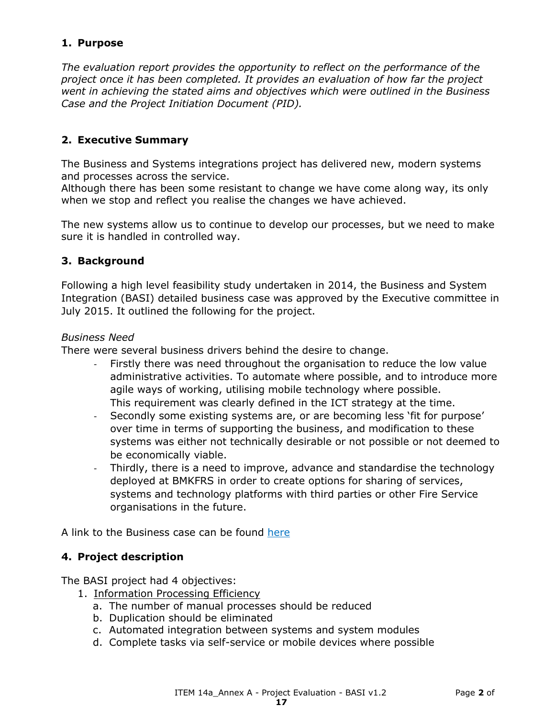#### **1. Purpose**

*The evaluation report provides the opportunity to reflect on the performance of the project once it has been completed. It provides an evaluation of how far the project went in achieving the stated aims and objectives which were outlined in the Business Case and the Project Initiation Document (PID).*

#### **2. Executive Summary**

The Business and Systems integrations project has delivered new, modern systems and processes across the service.

Although there has been some resistant to change we have come along way, its only when we stop and reflect you realise the changes we have achieved.

The new systems allow us to continue to develop our processes, but we need to make sure it is handled in controlled way.

#### **3. Background**

Following a high level feasibility study undertaken in 2014, the Business and System Integration (BASI) detailed business case was approved by the Executive committee in July 2015. It outlined the following for the project.

#### *Business Need*

There were several business drivers behind the desire to change.

- Firstly there was need throughout the organisation to reduce the low value administrative activities. To automate where possible, and to introduce more agile ways of working, utilising mobile technology where possible. This requirement was clearly defined in the ICT strategy at the time.
- Secondly some existing systems are, or are becoming less 'fit for purpose' over time in terms of supporting the business, and modification to these systems was either not technically desirable or not possible or not deemed to be economically viable.
- Thirdly, there is a need to improve, advance and standardise the technology deployed at BMKFRS in order to create options for sharing of services, systems and technology platforms with third parties or other Fire Service organisations in the future.

A link to the Business case can be found [here](https://bucksfire.gov.uk/documents/2020/03/2990715_exec_committee_papers.pdf/)

#### **4. Project description**

The BASI project had 4 objectives:

- 1. Information Processing Efficiency
	- a. The number of manual processes should be reduced
	- b. Duplication should be eliminated
	- c. Automated integration between systems and system modules
	- d. Complete tasks via self-service or mobile devices where possible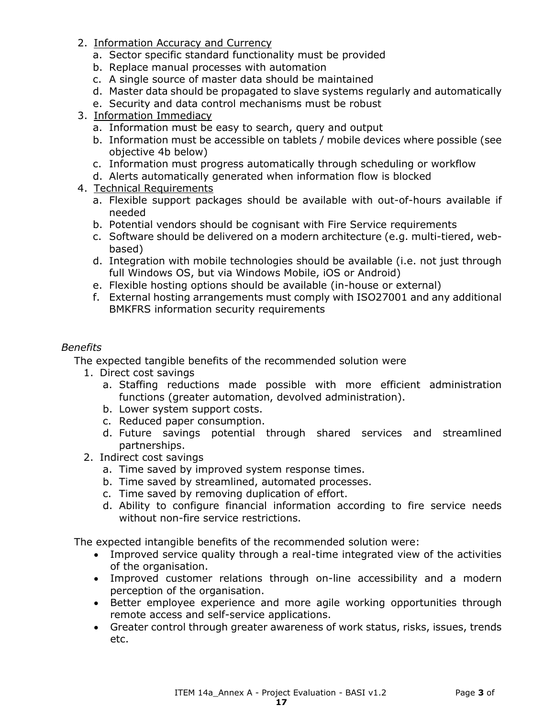- 2. Information Accuracy and Currency
	- a. Sector specific standard functionality must be provided
	- b. Replace manual processes with automation
	- c. A single source of master data should be maintained
	- d. Master data should be propagated to slave systems regularly and automatically
	- e. Security and data control mechanisms must be robust
- 3. Information Immediacy
	- a. Information must be easy to search, query and output
	- b. Information must be accessible on tablets / mobile devices where possible (see objective 4b below)
	- c. Information must progress automatically through scheduling or workflow
	- d. Alerts automatically generated when information flow is blocked
- 4. Technical Requirements
	- a. Flexible support packages should be available with out-of-hours available if needed
	- b. Potential vendors should be cognisant with Fire Service requirements
	- c. Software should be delivered on a modern architecture (e.g. multi-tiered, webbased)
	- d. Integration with mobile technologies should be available (i.e. not just through full Windows OS, but via Windows Mobile, iOS or Android)
	- e. Flexible hosting options should be available (in-house or external)
	- f. External hosting arrangements must comply with ISO27001 and any additional BMKFRS information security requirements

#### *Benefits*

The expected tangible benefits of the recommended solution were

- 1. Direct cost savings
	- a. Staffing reductions made possible with more efficient administration functions (greater automation, devolved administration).
	- b. Lower system support costs.
	- c. Reduced paper consumption.
	- d. Future savings potential through shared services and streamlined partnerships.
- 2. Indirect cost savings
	- a. Time saved by improved system response times.
	- b. Time saved by streamlined, automated processes.
	- c. Time saved by removing duplication of effort.
	- d. Ability to configure financial information according to fire service needs without non-fire service restrictions.

The expected intangible benefits of the recommended solution were:

- Improved service quality through a real-time integrated view of the activities of the organisation.
- Improved customer relations through on-line accessibility and a modern perception of the organisation.
- Better employee experience and more agile working opportunities through remote access and self-service applications.
- Greater control through greater awareness of work status, risks, issues, trends etc.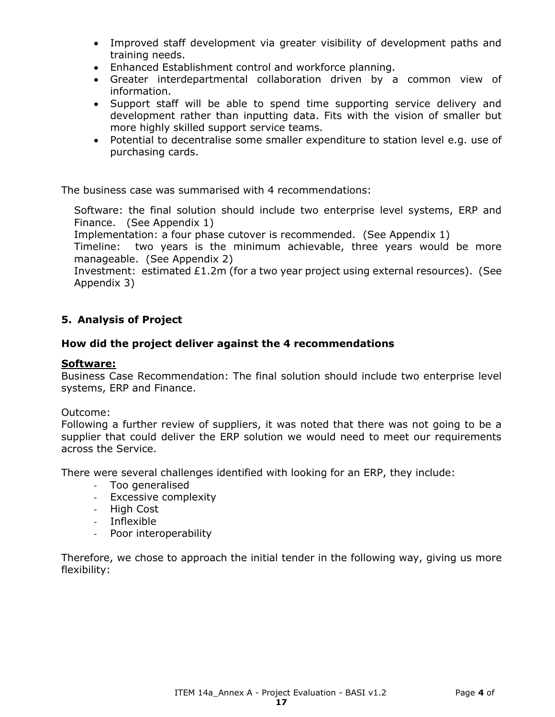- Improved staff development via greater visibility of development paths and training needs.
- Enhanced Establishment control and workforce planning.
- Greater interdepartmental collaboration driven by a common view of information.
- Support staff will be able to spend time supporting service delivery and development rather than inputting data. Fits with the vision of smaller but more highly skilled support service teams.
- Potential to decentralise some smaller expenditure to station level e.g. use of purchasing cards.

The business case was summarised with 4 recommendations:

Software: the final solution should include two enterprise level systems, ERP and Finance. (See Appendix 1)

Implementation: a four phase cutover is recommended. (See Appendix 1)

Timeline: two years is the minimum achievable, three years would be more manageable. (See Appendix 2)

Investment: estimated £1.2m (for a two year project using external resources). (See Appendix 3)

### **5. Analysis of Project**

#### **How did the project deliver against the 4 recommendations**

#### **Software:**

Business Case Recommendation: The final solution should include two enterprise level systems, ERP and Finance.

#### Outcome:

Following a further review of suppliers, it was noted that there was not going to be a supplier that could deliver the ERP solution we would need to meet our requirements across the Service.

There were several challenges identified with looking for an ERP, they include:

- Too generalised
- Excessive complexity
- High Cost
- Inflexible
- Poor interoperability

Therefore, we chose to approach the initial tender in the following way, giving us more flexibility: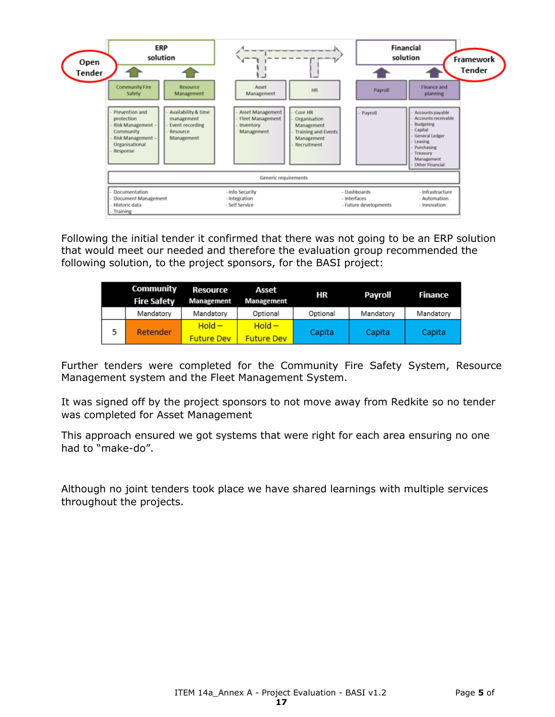

Following the initial tender it confirmed that there was not going to be an ERP solution that would meet our needed and therefore the evaluation group recommended the following solution, to the project sponsors, for the BASI project:

|   | Community<br><b>Fire Safety</b> | <b>Resource</b><br>Management | Asset<br>Management | ΗR       | Payroll   | Finance   |
|---|---------------------------------|-------------------------------|---------------------|----------|-----------|-----------|
|   | Mandatory                       | Mandatory                     | Optional            | Optional | Mandatory | Mandatory |
| 5 | Retender                        | $Hold -$                      | $Hold -$            | Capita   | Capita    | Capita    |
|   |                                 | <b>Future Dev</b>             | <b>Future Dev</b>   |          |           |           |

Further tenders were completed for the Community Fire Safety System, Resource Management system and the Fleet Management System.

It was signed off by the project sponsors to not move away from Redkite so no tender was completed for Asset Management

This approach ensured we got systems that were right for each area ensuring no one had to "make-do".

Although no joint tenders took place we have shared learnings with multiple services throughout the projects.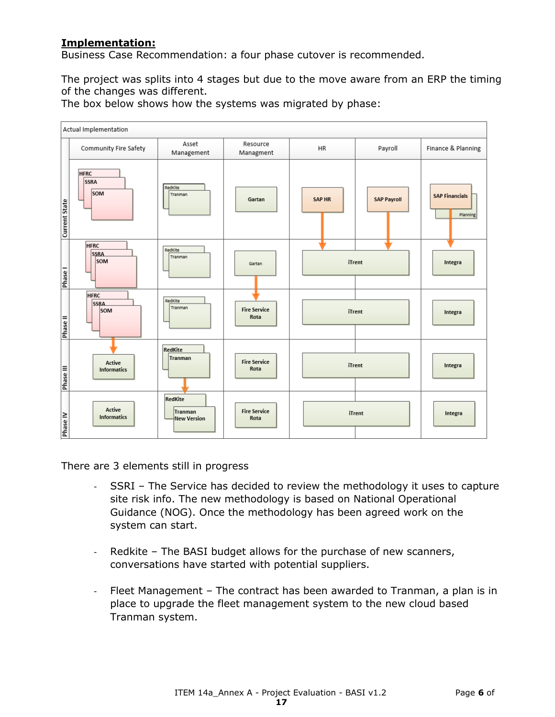### **Implementation:**

Business Case Recommendation: a four phase cutover is recommended.

The project was splits into 4 stages but due to the move aware from an ERP the timing of the changes was different.



The box below shows how the systems was migrated by phase:

There are 3 elements still in progress

- SSRI The Service has decided to review the methodology it uses to capture site risk info. The new methodology is based on National Operational Guidance (NOG). Once the methodology has been agreed work on the system can start.
- Redkite The BASI budget allows for the purchase of new scanners, conversations have started with potential suppliers.
- Fleet Management The contract has been awarded to Tranman, a plan is in place to upgrade the fleet management system to the new cloud based Tranman system.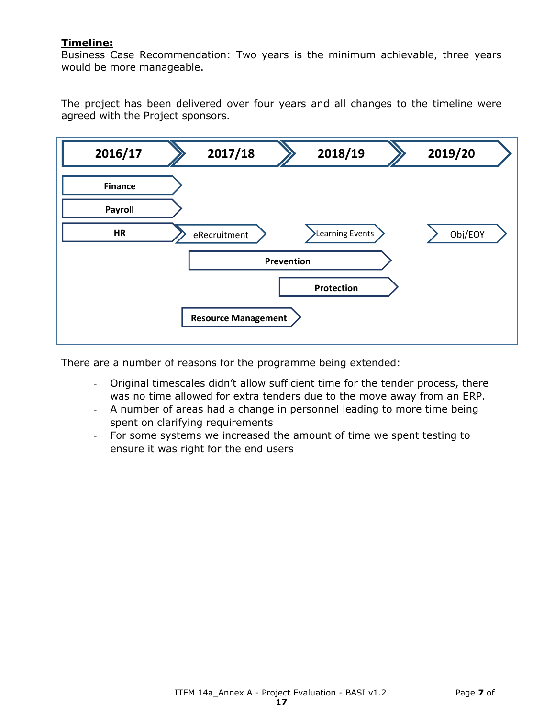#### **Timeline:**

Business Case Recommendation: Two years is the minimum achievable, three years would be more manageable.

The project has been delivered over four years and all changes to the timeline were agreed with the Project sponsors.



There are a number of reasons for the programme being extended:

- Original timescales didn't allow sufficient time for the tender process, there was no time allowed for extra tenders due to the move away from an ERP.
- A number of areas had a change in personnel leading to more time being spent on clarifying requirements
- For some systems we increased the amount of time we spent testing to ensure it was right for the end users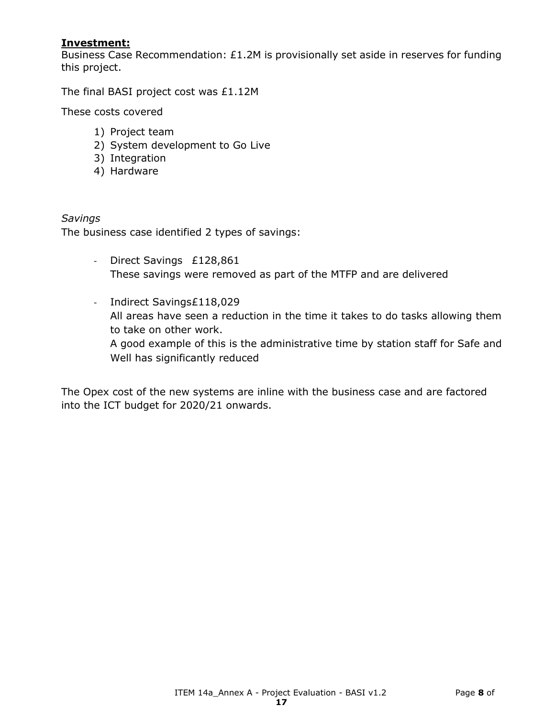#### **Investment:**

Business Case Recommendation: £1.2M is provisionally set aside in reserves for funding this project.

The final BASI project cost was £1.12M

These costs covered

- 1) Project team
- 2) System development to Go Live
- 3) Integration
- 4) Hardware

#### *Savings*

The business case identified 2 types of savings:

- Direct Savings £128,861 These savings were removed as part of the MTFP and are delivered
- Indirect Savings£118,029 All areas have seen a reduction in the time it takes to do tasks allowing them to take on other work. A good example of this is the administrative time by station staff for Safe and Well has significantly reduced

The Opex cost of the new systems are inline with the business case and are factored into the ICT budget for 2020/21 onwards.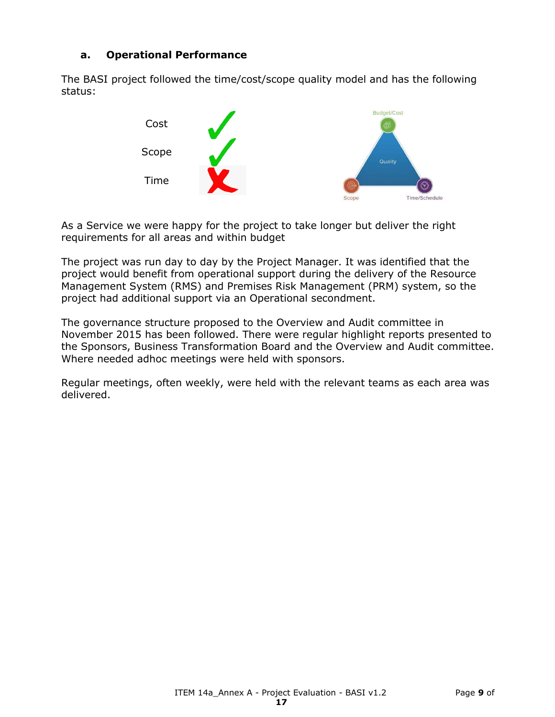#### **a. Operational Performance**

The BASI project followed the time/cost/scope quality model and has the following status:



As a Service we were happy for the project to take longer but deliver the right requirements for all areas and within budget

The project was run day to day by the Project Manager. It was identified that the project would benefit from operational support during the delivery of the Resource Management System (RMS) and Premises Risk Management (PRM) system, so the project had additional support via an Operational secondment.

The governance structure proposed to the Overview and Audit committee in November 2015 has been followed. There were regular highlight reports presented to the Sponsors, Business Transformation Board and the Overview and Audit committee. Where needed adhoc meetings were held with sponsors.

Regular meetings, often weekly, were held with the relevant teams as each area was delivered.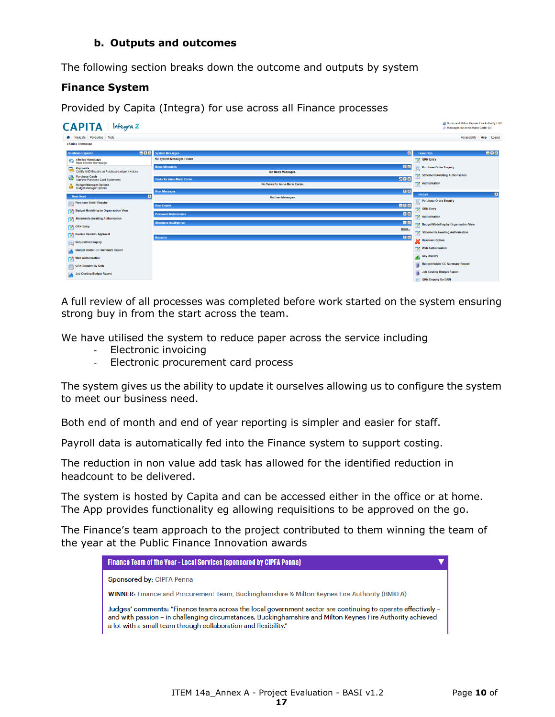#### **b. Outputs and outcomes**

The following section breaks down the outcome and outputs by system

#### **Finance System**

Provided by Capita (Integra) for use across all Finance processes



A full review of all processes was completed before work started on the system ensuring strong buy in from the start across the team.

We have utilised the system to reduce paper across the service including

- Electronic invoicing
- Electronic procurement card process

The system gives us the ability to update it ourselves allowing us to configure the system to meet our business need.

Both end of month and end of year reporting is simpler and easier for staff.

Payroll data is automatically fed into the Finance system to support costing.

The reduction in non value add task has allowed for the identified reduction in headcount to be delivered.

The system is hosted by Capita and can be accessed either in the office or at home. The App provides functionality eg allowing requisitions to be approved on the go.

The Finance's team approach to the project contributed to them winning the team of the year at the Public Finance Innovation awards

| <b>Finance Team of the Year - Local Services (sponsored by CIPFA Penna)</b>                                                                                                                                                                                                                    |
|------------------------------------------------------------------------------------------------------------------------------------------------------------------------------------------------------------------------------------------------------------------------------------------------|
| Sponsored by: CIPFA Penna                                                                                                                                                                                                                                                                      |
| <b>WINNER:</b> Finance and Procurement Team, Buckinghamshire & Milton Keynes Fire Authority (BMKFA)                                                                                                                                                                                            |
| - Judges' comments: "Finance teams across the local government sector are continuing to operate effectively -<br>and with passion – in challenging circumstances. Buckinghamshire and Milton Keynes Fire Authority achieved<br>a lot with a small team through collaboration and flexibility." |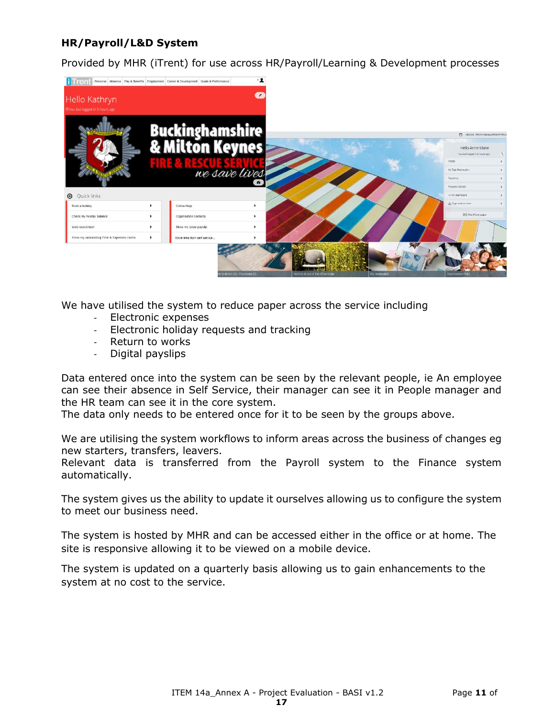### **HR/Payroll/L&D System**

Provided by MHR (iTrent) for use across HR/Payroll/Learning & Development processes



We have utilised the system to reduce paper across the service including

- Electronic expenses
- Electronic holiday requests and tracking
- Return to works
- Digital payslips

Data entered once into the system can be seen by the relevant people, ie An employee can see their absence in Self Service, their manager can see it in People manager and the HR team can see it in the core system.

The data only needs to be entered once for it to be seen by the groups above.

We are utilising the system workflows to inform areas across the business of changes eg new starters, transfers, leavers.

Relevant data is transferred from the Payroll system to the Finance system automatically.

The system gives us the ability to update it ourselves allowing us to configure the system to meet our business need.

The system is hosted by MHR and can be accessed either in the office or at home. The site is responsive allowing it to be viewed on a mobile device.

The system is updated on a quarterly basis allowing us to gain enhancements to the system at no cost to the service.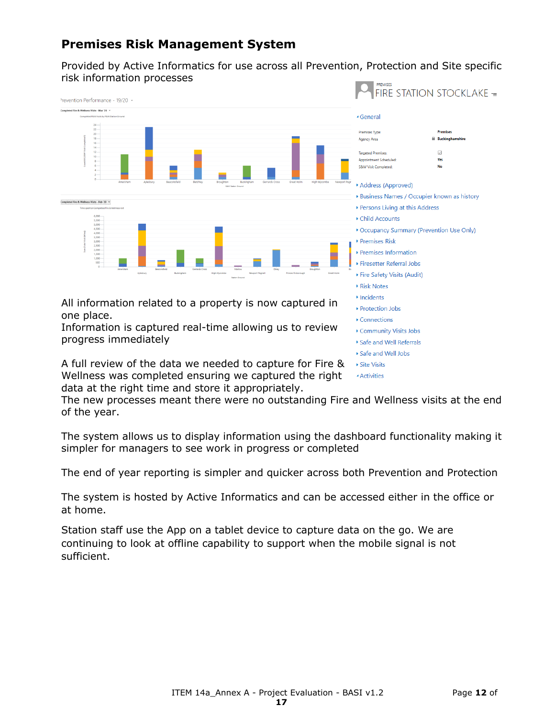## **Premises Risk Management System**

Provided by Active Informatics for use across all Prevention, Protection and Site specific risk information processes



data at the right time and store it appropriately. The new processes meant there were no outstanding Fire and Wellness visits at the end

of the year.

The system allows us to display information using the dashboard functionality making it simpler for managers to see work in progress or completed

The end of year reporting is simpler and quicker across both Prevention and Protection

The system is hosted by Active Informatics and can be accessed either in the office or at home.

Station staff use the App on a tablet device to capture data on the go. We are continuing to look at offline capability to support when the mobile signal is not sufficient.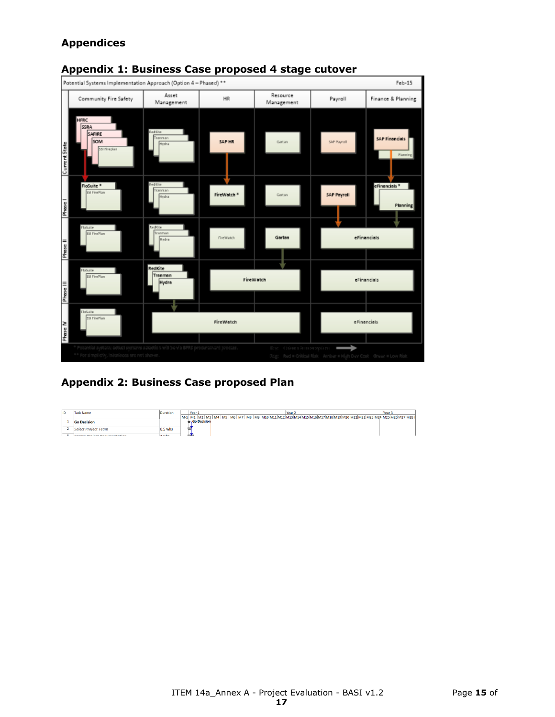## **Appendices**



## **Appendix 1: Business Case proposed 4 stage cutover**

**Appendix 2: Business Case proposed Plan**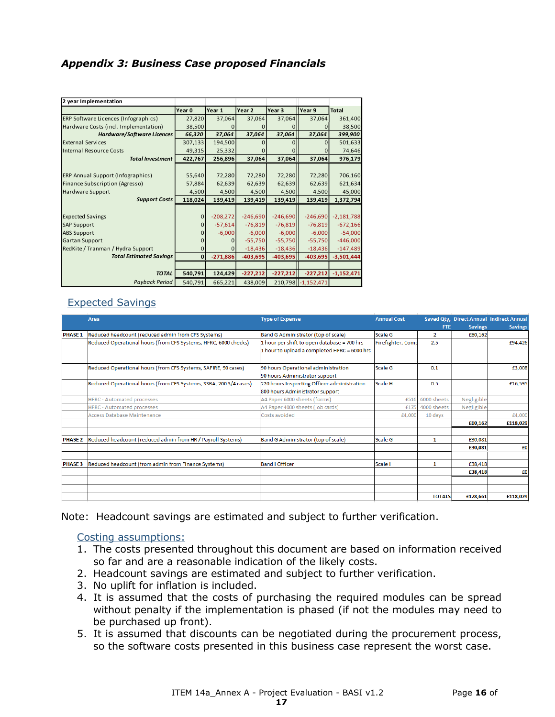#### *Appendix 3: Business Case proposed Financials*

| 2 year Implementation                    |              |            |            |            |                    |              |
|------------------------------------------|--------------|------------|------------|------------|--------------------|--------------|
|                                          | Year 0       | Year 1     | Year 2     | Year 3     | Year 9             | <b>Total</b> |
| ERP Software Licences (Infographics)     | 27,820       | 37,064     | 37,064     | 37,064     | 37,064             | 361,400      |
| Hardware Costs (incl. Implementation)    | 38,500       |            |            |            |                    | 38,500       |
| Hardware/Software Licences               | 66,320       | 37,064     | 37,064     | 37,064     | 37,064             | 399,900      |
| <b>External Services</b>                 | 307,133      | 194,500    |            |            |                    | 501,633      |
| Internal Resource Costs                  | 49,315       | 25,332     |            |            |                    | 74,646       |
| <b>Total Investment</b>                  | 422,767      | 256,896    | 37,064     | 37,064     | 37,064             | 976,179      |
|                                          |              |            |            |            |                    |              |
| <b>ERP Annual Support (Infographics)</b> | 55,640       | 72,280     | 72,280     | 72,280     | 72,280             | 706,160      |
| Finance Subscription (Agresso)           | 57,884       | 62,639     | 62,639     | 62,639     | 62,639             | 621,634      |
| <b>Hardware Support</b>                  | 4,500        | 4,500      | 4,500      | 4,500      | 4,500              | 45,000       |
| <b>Support Costs</b>                     | 118,024      | 139,419    | 139,419    | 139,419    | 139,419            | 1,372,794    |
|                                          |              |            |            |            |                    |              |
| <b>Expected Savings</b>                  | $\Omega$     | $-208,272$ | $-246,690$ | $-246,690$ | $-246,690$         | $-2,181,788$ |
| <b>SAP Support</b>                       | $\Omega$     | $-57,614$  | $-76,819$  | $-76,819$  | $-76,819$          | $-672,166$   |
| <b>ABS Support</b>                       | n            | $-6,000$   | $-6,000$   | $-6,000$   | $-6,000$           | $-54,000$    |
| <b>Gartan Support</b>                    |              |            | $-55,750$  | $-55,750$  | $-55,750$          | $-446,000$   |
| RedKite / Tranman / Hydra Support        | $\mathbf{0}$ | $\Omega$   | $-18,436$  | $-18,436$  | $-18,436$          | $-147,489$   |
| <b>Total Estimated Savings</b>           | $\mathbf 0$  | $-271,886$ | $-403,695$ | $-403,695$ | $-403,695$         | $-3,501,444$ |
|                                          |              |            |            |            |                    |              |
| <b>TOTAL</b>                             | 540,791      | 124,429    | $-227,212$ | $-227,212$ | $-227,212$         | $-1,152,471$ |
| <b>Payback Period</b>                    | 540,791      | 665,221    | 438,009    |            | 210,798 -1,152,471 |              |

#### Expected Savings

|                | Area                                                              | <b>Type of Expense</b>                       | <b>Annual Cost</b> |               |                | Saved Qty, Direct Annual Indirect Annual |
|----------------|-------------------------------------------------------------------|----------------------------------------------|--------------------|---------------|----------------|------------------------------------------|
|                |                                                                   |                                              |                    | <b>FTE</b>    | <b>Savings</b> | <b>Savings</b>                           |
| <b>PHASE 1</b> | Reduced headcount (reduced admin from CFS Systems)                | Band G Administrator (top of scale)          | Scale G            | 2             | £60,162        |                                          |
|                | Reduced Operational hours (from CFS Systems, HFRC, 6000 checks)   | 1 hour per shift to open database = 700 hrs  | Firefighter, Comp  | 2.5           |                | £94,426                                  |
|                |                                                                   | 1 hour to upload a completed HFRC = 6000 hrs |                    |               |                |                                          |
|                | Reduced Operational hours (from CFS Systems, SAFIRE, 90 cases)    | 90 hours Operational administration          | Scale G            | 0.1           |                | £3,008                                   |
|                |                                                                   |                                              |                    |               |                |                                          |
|                |                                                                   | 90 hours Administrator support               |                    |               |                |                                          |
|                | Reduced Operational hours (from CFS Systems, SSRA, 200 3/4 cases) | 220 hours Inspecting Officer administration  | Scale H            | 0.5           |                | £16,595                                  |
|                |                                                                   | 800 hours Administrator support              |                    |               |                |                                          |
|                | <b>HFRC</b> - Automated processes                                 | A4 Paper 6000 sheets (forms)                 | £516               | 6000 sheets   | Negligible     |                                          |
|                | <b>HFRC - Automated processes</b>                                 | A4 Paper 4000 sheets (job cards)             | £175               | 4000 sheets   | Negligible     |                                          |
|                | Access Database Maintenance                                       | Costs avoided                                | £4,000             | 10 days       |                | £4,000                                   |
|                |                                                                   |                                              |                    |               | £60.162        | £118.029                                 |
|                |                                                                   |                                              |                    |               |                |                                          |
| <b>PHASE 2</b> | Reduced headcount (reduced admin from HR / Payroll Systems)       | Band G Administrator (top of scale)          | Scale G            | 1             | £30,081        |                                          |
|                |                                                                   |                                              |                    |               | £30,081        | £0                                       |
|                |                                                                   |                                              |                    |               |                |                                          |
| <b>PHASE 3</b> | Reduced headcount (from admin from Finance Systems)               | <b>Band I Officer</b>                        | Scale I            | 1             | £38,418        |                                          |
|                |                                                                   |                                              |                    |               | £38,418        | £0                                       |
|                |                                                                   |                                              |                    |               |                |                                          |
|                |                                                                   |                                              |                    |               |                |                                          |
|                |                                                                   |                                              |                    | <b>TOTALS</b> | £128,661       | £118,029                                 |

Note: Headcount savings are estimated and subject to further verification.

#### Costing assumptions:

- 1. The costs presented throughout this document are based on information received so far and are a reasonable indication of the likely costs.
- 2. Headcount savings are estimated and subject to further verification.
- 3. No uplift for inflation is included.
- 4. It is assumed that the costs of purchasing the required modules can be spread without penalty if the implementation is phased (if not the modules may need to be purchased up front).
- 5. It is assumed that discounts can be negotiated during the procurement process, so the software costs presented in this business case represent the worst case.